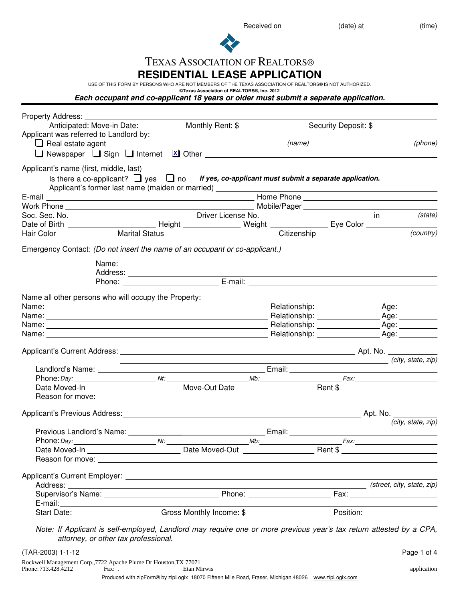| <b>TEXAS ASSOCIATION OF REALTORS®</b> |  |
|---------------------------------------|--|
|---------------------------------------|--|

**RESIDENTIAL LEASE APPLICATION**

USE OF THIS FORM BY PERSONS WHO ARE NOT MEMBERS OF THE TEXAS ASSOCIATION OF REALTORS® IS NOT AUTHORIZED.

**©Texas Association of REALTORS®, Inc. 2012 Each occupant and co-applicant 18 years or older must submit a separate application.**

| Property Address:                                    |                                                                                                                      |  |                                                                                           |
|------------------------------------------------------|----------------------------------------------------------------------------------------------------------------------|--|-------------------------------------------------------------------------------------------|
|                                                      |                                                                                                                      |  |                                                                                           |
| Applicant was referred to Landlord by:               |                                                                                                                      |  |                                                                                           |
|                                                      |                                                                                                                      |  |                                                                                           |
|                                                      |                                                                                                                      |  |                                                                                           |
|                                                      |                                                                                                                      |  |                                                                                           |
|                                                      | Is there a co-applicant? $\Box$ yes $\Box$ no If yes, co-applicant must submit a separate application.               |  |                                                                                           |
|                                                      | Applicant's former last name (maiden or married) ________________                                                    |  |                                                                                           |
|                                                      |                                                                                                                      |  |                                                                                           |
|                                                      |                                                                                                                      |  |                                                                                           |
|                                                      |                                                                                                                      |  |                                                                                           |
|                                                      |                                                                                                                      |  |                                                                                           |
|                                                      | Hair Color _______________ Marital Status ______________________________Citizenship ______________________(country)  |  |                                                                                           |
|                                                      | Emergency Contact: (Do not insert the name of an occupant or co-applicant.)                                          |  |                                                                                           |
|                                                      |                                                                                                                      |  |                                                                                           |
|                                                      |                                                                                                                      |  |                                                                                           |
|                                                      |                                                                                                                      |  |                                                                                           |
|                                                      |                                                                                                                      |  |                                                                                           |
| Name all other persons who will occupy the Property: |                                                                                                                      |  |                                                                                           |
|                                                      |                                                                                                                      |  |                                                                                           |
|                                                      |                                                                                                                      |  |                                                                                           |
|                                                      |                                                                                                                      |  |                                                                                           |
|                                                      |                                                                                                                      |  |                                                                                           |
|                                                      |                                                                                                                      |  |                                                                                           |
|                                                      | <u> 1989 - Johann Stein, marwolaethau a bhann an t-Amhain an t-Amhain an t-Amhain an t-Amhain an t-Amhain an t-A</u> |  | (city, state, zip)                                                                        |
|                                                      |                                                                                                                      |  |                                                                                           |
|                                                      |                                                                                                                      |  |                                                                                           |
|                                                      |                                                                                                                      |  |                                                                                           |
|                                                      |                                                                                                                      |  |                                                                                           |
|                                                      |                                                                                                                      |  |                                                                                           |
|                                                      | <u> 1989 - Johann Stein, marwolaethau a bhann an t-Amhain an t-Amhain an t-Amhain an t-Amhain an t-Amhain an t-A</u> |  | (city, state, zip)                                                                        |
|                                                      | Previous Landlord's Name: 1990 1990 1991 1991 1992 Email: 2008 1994 1996 1997 1998 1999 1999 1999 1999 1999 1        |  |                                                                                           |
| Phone: Day:                                          |                                                                                                                      |  |                                                                                           |
|                                                      |                                                                                                                      |  |                                                                                           |
|                                                      |                                                                                                                      |  |                                                                                           |
|                                                      |                                                                                                                      |  |                                                                                           |
|                                                      |                                                                                                                      |  |                                                                                           |
|                                                      |                                                                                                                      |  |                                                                                           |
|                                                      |                                                                                                                      |  | the control of the control of the control of the control of the control of the control of |
|                                                      | Start Date: Care Content of Gross Monthly Income: \$                                                                 |  |                                                                                           |
|                                                      |                                                                                                                      |  |                                                                                           |
|                                                      | Note: If Applicant is self-employed, Landlord may require one or more previous year's tax return attested by a CPA,  |  |                                                                                           |
|                                                      | attorney, or other tax professional.                                                                                 |  |                                                                                           |
| (TAR-2003) 1-1-12                                    |                                                                                                                      |  | Page 1 of 4                                                                               |

|                     | Rockwell Management Corp.,7722 Apache Plume Dr Houston, TX 77071 |                                                                                                     |             |
|---------------------|------------------------------------------------------------------|-----------------------------------------------------------------------------------------------------|-------------|
| Phone: 713.428.4212 | Fax: .                                                           | Etan Mirwis                                                                                         | application |
|                     |                                                                  | Produced with zipForm® by zipLogix 18070 Fifteen Mile Road, Fraser, Michigan 48026 www.zipLogix.com |             |

Received on \_\_\_\_\_\_\_\_\_\_\_\_\_\_\_(date) at \_\_\_\_\_\_\_\_\_\_\_\_(time)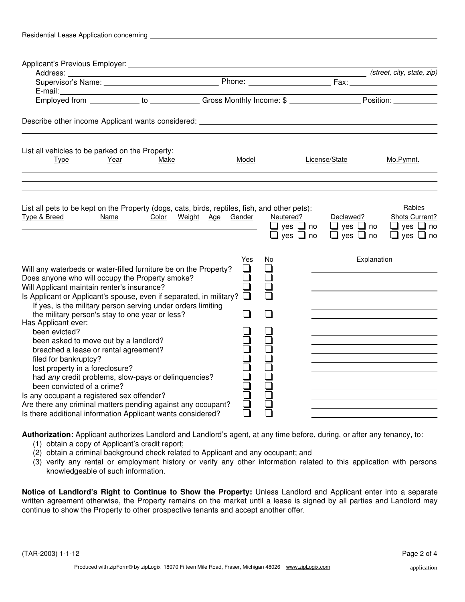| Residential Lease Application concerning |  |  |
|------------------------------------------|--|--|
|------------------------------------------|--|--|

|                                                                                                                                                                                                                                                                                                                                                                                                                                                                                                                                                                                                                                                                                                                                                                                                                       |       |                                                                            |                                                           | (street, city, state, zip)                                                      |
|-----------------------------------------------------------------------------------------------------------------------------------------------------------------------------------------------------------------------------------------------------------------------------------------------------------------------------------------------------------------------------------------------------------------------------------------------------------------------------------------------------------------------------------------------------------------------------------------------------------------------------------------------------------------------------------------------------------------------------------------------------------------------------------------------------------------------|-------|----------------------------------------------------------------------------|-----------------------------------------------------------|---------------------------------------------------------------------------------|
|                                                                                                                                                                                                                                                                                                                                                                                                                                                                                                                                                                                                                                                                                                                                                                                                                       |       |                                                                            |                                                           |                                                                                 |
|                                                                                                                                                                                                                                                                                                                                                                                                                                                                                                                                                                                                                                                                                                                                                                                                                       |       |                                                                            |                                                           |                                                                                 |
|                                                                                                                                                                                                                                                                                                                                                                                                                                                                                                                                                                                                                                                                                                                                                                                                                       |       |                                                                            |                                                           |                                                                                 |
| Describe other income Applicant wants considered: _______________________________                                                                                                                                                                                                                                                                                                                                                                                                                                                                                                                                                                                                                                                                                                                                     |       |                                                                            |                                                           |                                                                                 |
| List all vehicles to be parked on the Property:                                                                                                                                                                                                                                                                                                                                                                                                                                                                                                                                                                                                                                                                                                                                                                       |       |                                                                            |                                                           |                                                                                 |
| Year<br>Make<br><b>Type</b>                                                                                                                                                                                                                                                                                                                                                                                                                                                                                                                                                                                                                                                                                                                                                                                           | Model |                                                                            | License/State                                             | Mo.Pymnt.                                                                       |
| List all pets to be kept on the Property (dogs, cats, birds, reptiles, fish, and other pets):<br>Type & Breed<br>Name<br>Color Weight Age Gender                                                                                                                                                                                                                                                                                                                                                                                                                                                                                                                                                                                                                                                                      |       | Neutered?<br>$\Box$ yes $\Box$ no<br>$\Box$<br>$\mathsf{ves} \ \square$ no | Declawed?<br>$\Box$ yes $\Box$ no<br>$\Box$ yes $\Box$ no | <b>Rabies</b><br>Shots Current?<br>$\Box$ yes $\Box$ no<br>$\Box$ yes $\Box$ no |
| Will any waterbeds or water-filled furniture be on the Property?<br>Does anyone who will occupy the Property smoke?<br>Will Applicant maintain renter's insurance?<br>Is Applicant or Applicant's spouse, even if separated, in military?<br>If yes, is the military person serving under orders limiting<br>the military person's stay to one year or less?<br>Has Applicant ever:<br>been evicted?<br>been asked to move out by a landlord?<br>breached a lease or rental agreement?<br>filed for bankruptcy?<br>lost property in a foreclosure?<br>had any credit problems, slow-pays or delinquencies?<br>been convicted of a crime?<br>Is any occupant a registered sex offender?<br>Are there any criminal matters pending against any occupant?<br>Is there additional information Applicant wants considered? |       |                                                                            | Explanation                                               |                                                                                 |

**Authorization:** Applicant authorizes Landlord and Landlord's agent, at any time before, during, or after any tenancy, to:

- (1) obtain a copy of Applicant's credit report;
- (2) obtain a criminal background check related to Applicant and any occupant; and
- (3) verify any rental or employment history or verify any other information related to this application with persons knowledgeable of such information.

**Notice of Landlord's Right to Continue to Show the Property:** Unless Landlord and Applicant enter into a separate written agreement otherwise, the Property remains on the market until a lease is signed by all parties and Landlord may continue to show the Property to other prospective tenants and accept another offer.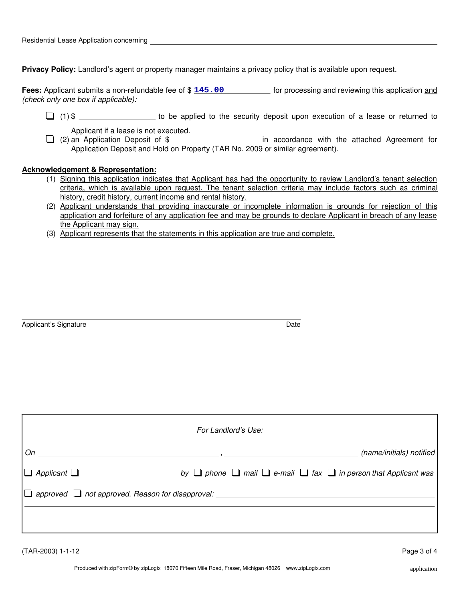**Privacy Policy:** Landlord's agent or property manager maintains a privacy policy that is available upon request.

Fees: Applicant submits a non-refundable fee of \$ 145.00 [15] [or processing and reviewing this application and *(check only one box if applicable):*

 $\Box$  (1) \$ \_\_\_\_\_\_\_\_\_\_\_\_\_\_\_\_\_\_ to be applied to the security deposit upon execution of a lease or returned to

Applicant if a lease is not executed.

Applicant if a lease is not executed.<br> **in accordance with the attached Agreement for** (2) an Application Deposit of \$ Application Deposit and Hold on Property (TAR No. 2009 or similar agreement).

## **Acknowledgement & Representation:**

- (1) Signing this application indicates that Applicant has had the opportunity to review Landlord's tenant selection criteria, which is available upon request. The tenant selection criteria may include factors such as criminal history, credit history, current income and rental history.
- (2) Applicant understands that providing inaccurate or incomplete information is grounds for rejection of this application and forfeiture of any application fee and may be grounds to declare Applicant in breach of any lease the Applicant may sign.
- (3) Applicant represents that the statements in this application are true and complete.

Applicant's Signature **Date Date Date Date Date Date Date Date Date Date** 

|                   | For Landlord's Use: |  |                          |
|-------------------|---------------------|--|--------------------------|
| $On \_\_\_\_\$    |                     |  | (name/initials) notified |
|                   |                     |  |                          |
|                   |                     |  |                          |
|                   |                     |  |                          |
|                   |                     |  |                          |
| (TAR-2003) 1-1-12 |                     |  | Page 3 of 4              |